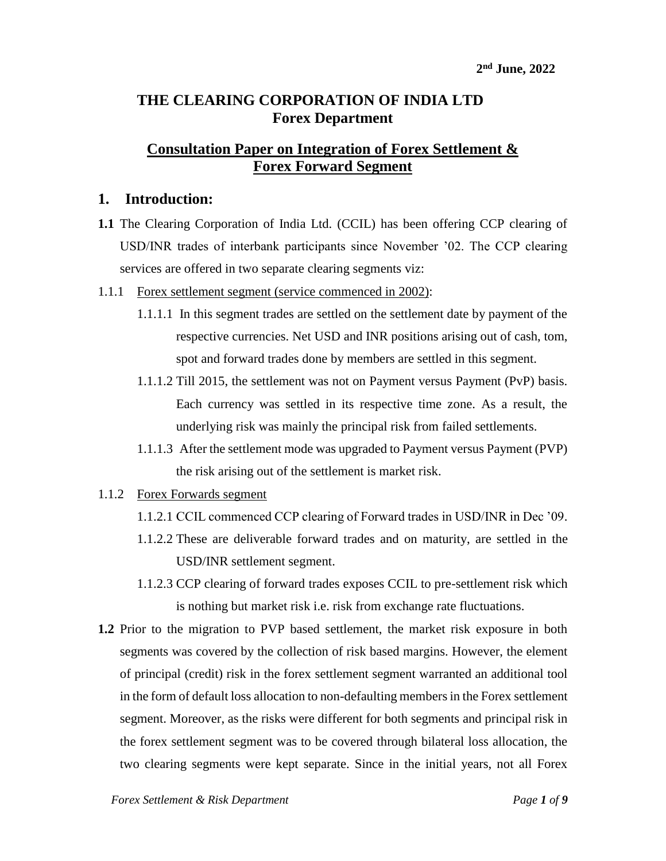# **THE CLEARING CORPORATION OF INDIA LTD Forex Department**

# **Consultation Paper on Integration of Forex Settlement & Forex Forward Segment**

## **1. Introduction:**

- **1.1** The Clearing Corporation of India Ltd. (CCIL) has been offering CCP clearing of USD/INR trades of interbank participants since November '02. The CCP clearing services are offered in two separate clearing segments viz:
- 1.1.1 Forex settlement segment (service commenced in 2002):
	- 1.1.1.1 In this segment trades are settled on the settlement date by payment of the respective currencies. Net USD and INR positions arising out of cash, tom, spot and forward trades done by members are settled in this segment.
	- 1.1.1.2 Till 2015, the settlement was not on Payment versus Payment (PvP) basis. Each currency was settled in its respective time zone. As a result, the underlying risk was mainly the principal risk from failed settlements.
	- 1.1.1.3 After the settlement mode was upgraded to Payment versus Payment (PVP) the risk arising out of the settlement is market risk.
- 1.1.2 Forex Forwards segment
	- 1.1.2.1 CCIL commenced CCP clearing of Forward trades in USD/INR in Dec '09.
	- 1.1.2.2 These are deliverable forward trades and on maturity, are settled in the USD/INR settlement segment.
	- 1.1.2.3 CCP clearing of forward trades exposes CCIL to pre-settlement risk which is nothing but market risk i.e. risk from exchange rate fluctuations.
- **1.2** Prior to the migration to PVP based settlement, the market risk exposure in both segments was covered by the collection of risk based margins. However, the element of principal (credit) risk in the forex settlement segment warranted an additional tool in the form of default loss allocation to non-defaulting members in the Forex settlement segment. Moreover, as the risks were different for both segments and principal risk in the forex settlement segment was to be covered through bilateral loss allocation, the two clearing segments were kept separate. Since in the initial years, not all Forex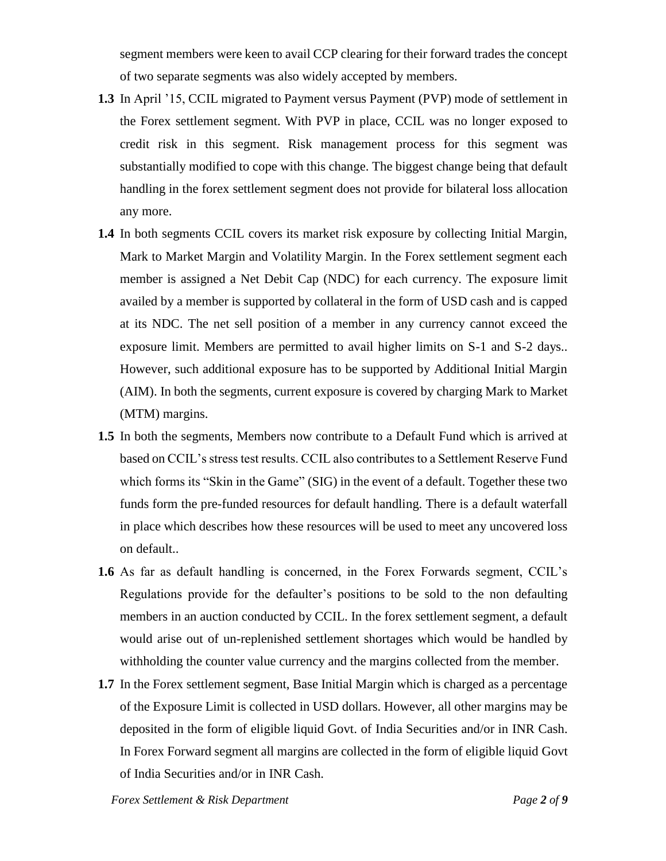segment members were keen to avail CCP clearing for their forward trades the concept of two separate segments was also widely accepted by members.

- **1.3** In April '15, CCIL migrated to Payment versus Payment (PVP) mode of settlement in the Forex settlement segment. With PVP in place, CCIL was no longer exposed to credit risk in this segment. Risk management process for this segment was substantially modified to cope with this change. The biggest change being that default handling in the forex settlement segment does not provide for bilateral loss allocation any more.
- **1.4** In both segments CCIL covers its market risk exposure by collecting Initial Margin, Mark to Market Margin and Volatility Margin. In the Forex settlement segment each member is assigned a Net Debit Cap (NDC) for each currency. The exposure limit availed by a member is supported by collateral in the form of USD cash and is capped at its NDC. The net sell position of a member in any currency cannot exceed the exposure limit. Members are permitted to avail higher limits on S-1 and S-2 days.. However, such additional exposure has to be supported by Additional Initial Margin (AIM). In both the segments, current exposure is covered by charging Mark to Market (MTM) margins.
- **1.5** In both the segments, Members now contribute to a Default Fund which is arrived at based on CCIL's stress test results. CCIL also contributes to a Settlement Reserve Fund which forms its "Skin in the Game" (SIG) in the event of a default. Together these two funds form the pre-funded resources for default handling. There is a default waterfall in place which describes how these resources will be used to meet any uncovered loss on default..
- **1.6** As far as default handling is concerned, in the Forex Forwards segment, CCIL's Regulations provide for the defaulter's positions to be sold to the non defaulting members in an auction conducted by CCIL. In the forex settlement segment, a default would arise out of un-replenished settlement shortages which would be handled by withholding the counter value currency and the margins collected from the member.
- **1.7** In the Forex settlement segment, Base Initial Margin which is charged as a percentage of the Exposure Limit is collected in USD dollars. However, all other margins may be deposited in the form of eligible liquid Govt. of India Securities and/or in INR Cash. In Forex Forward segment all margins are collected in the form of eligible liquid Govt of India Securities and/or in INR Cash.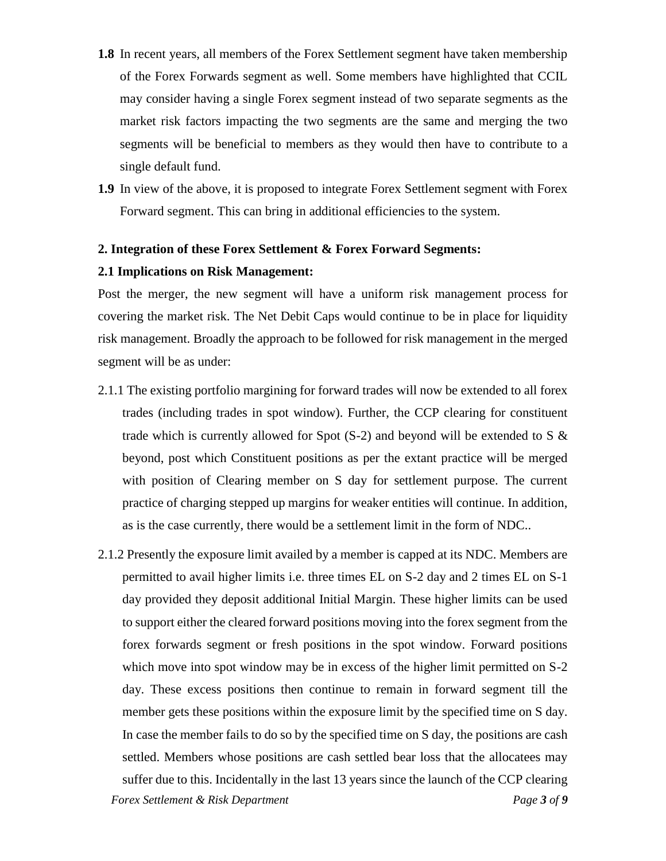- **1.8** In recent years, all members of the Forex Settlement segment have taken membership of the Forex Forwards segment as well. Some members have highlighted that CCIL may consider having a single Forex segment instead of two separate segments as the market risk factors impacting the two segments are the same and merging the two segments will be beneficial to members as they would then have to contribute to a single default fund.
- **1.9** In view of the above, it is proposed to integrate Forex Settlement segment with Forex Forward segment. This can bring in additional efficiencies to the system.

### **2. Integration of these Forex Settlement & Forex Forward Segments:**

#### **2.1 Implications on Risk Management:**

Post the merger, the new segment will have a uniform risk management process for covering the market risk. The Net Debit Caps would continue to be in place for liquidity risk management. Broadly the approach to be followed for risk management in the merged segment will be as under:

- 2.1.1 The existing portfolio margining for forward trades will now be extended to all forex trades (including trades in spot window). Further, the CCP clearing for constituent trade which is currently allowed for Spot  $(S-2)$  and beyond will be extended to S & beyond, post which Constituent positions as per the extant practice will be merged with position of Clearing member on S day for settlement purpose. The current practice of charging stepped up margins for weaker entities will continue. In addition, as is the case currently, there would be a settlement limit in the form of NDC..
- 2.1.2 Presently the exposure limit availed by a member is capped at its NDC. Members are permitted to avail higher limits i.e. three times EL on S-2 day and 2 times EL on S-1 day provided they deposit additional Initial Margin. These higher limits can be used to support either the cleared forward positions moving into the forex segment from the forex forwards segment or fresh positions in the spot window. Forward positions which move into spot window may be in excess of the higher limit permitted on S-2 day. These excess positions then continue to remain in forward segment till the member gets these positions within the exposure limit by the specified time on S day. In case the member fails to do so by the specified time on S day, the positions are cash settled. Members whose positions are cash settled bear loss that the allocatees may suffer due to this. Incidentally in the last 13 years since the launch of the CCP clearing

*Forex Settlement & Risk Department Page 3 of 9*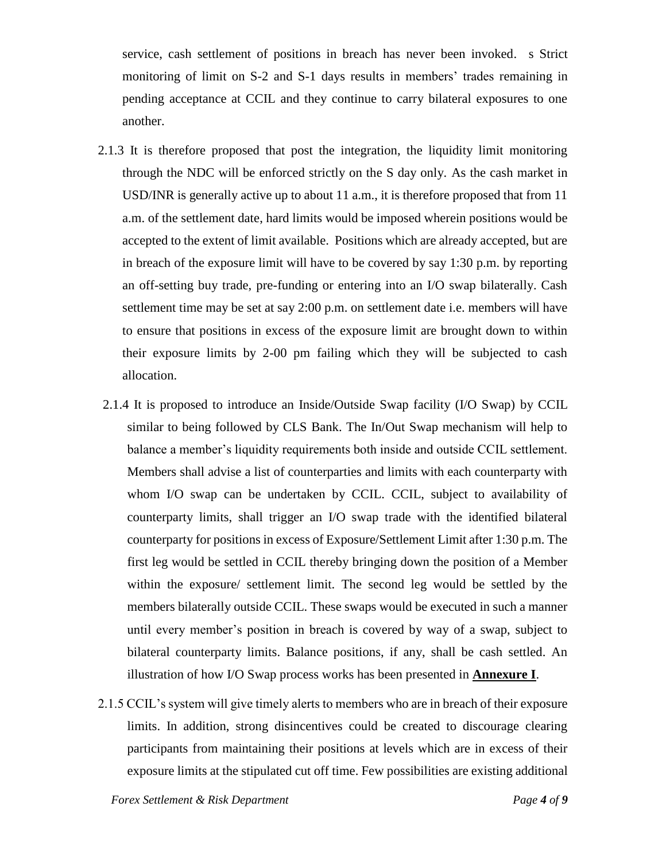service, cash settlement of positions in breach has never been invoked. s Strict monitoring of limit on S-2 and S-1 days results in members' trades remaining in pending acceptance at CCIL and they continue to carry bilateral exposures to one another.

- 2.1.3 It is therefore proposed that post the integration, the liquidity limit monitoring through the NDC will be enforced strictly on the S day only. As the cash market in USD/INR is generally active up to about 11 a.m., it is therefore proposed that from 11 a.m. of the settlement date, hard limits would be imposed wherein positions would be accepted to the extent of limit available. Positions which are already accepted, but are in breach of the exposure limit will have to be covered by say 1:30 p.m. by reporting an off-setting buy trade, pre-funding or entering into an I/O swap bilaterally. Cash settlement time may be set at say 2:00 p.m. on settlement date i.e. members will have to ensure that positions in excess of the exposure limit are brought down to within their exposure limits by 2-00 pm failing which they will be subjected to cash allocation.
- 2.1.4 It is proposed to introduce an Inside/Outside Swap facility (I/O Swap) by CCIL similar to being followed by CLS Bank. The In/Out Swap mechanism will help to balance a member's liquidity requirements both inside and outside CCIL settlement. Members shall advise a list of counterparties and limits with each counterparty with whom I/O swap can be undertaken by CCIL. CCIL, subject to availability of counterparty limits, shall trigger an I/O swap trade with the identified bilateral counterparty for positions in excess of Exposure/Settlement Limit after 1:30 p.m. The first leg would be settled in CCIL thereby bringing down the position of a Member within the exposure/ settlement limit. The second leg would be settled by the members bilaterally outside CCIL. These swaps would be executed in such a manner until every member's position in breach is covered by way of a swap, subject to bilateral counterparty limits. Balance positions, if any, shall be cash settled. An illustration of how I/O Swap process works has been presented in **Annexure I**.
- 2.1.5 CCIL's system will give timely alerts to members who are in breach of their exposure limits. In addition, strong disincentives could be created to discourage clearing participants from maintaining their positions at levels which are in excess of their exposure limits at the stipulated cut off time. Few possibilities are existing additional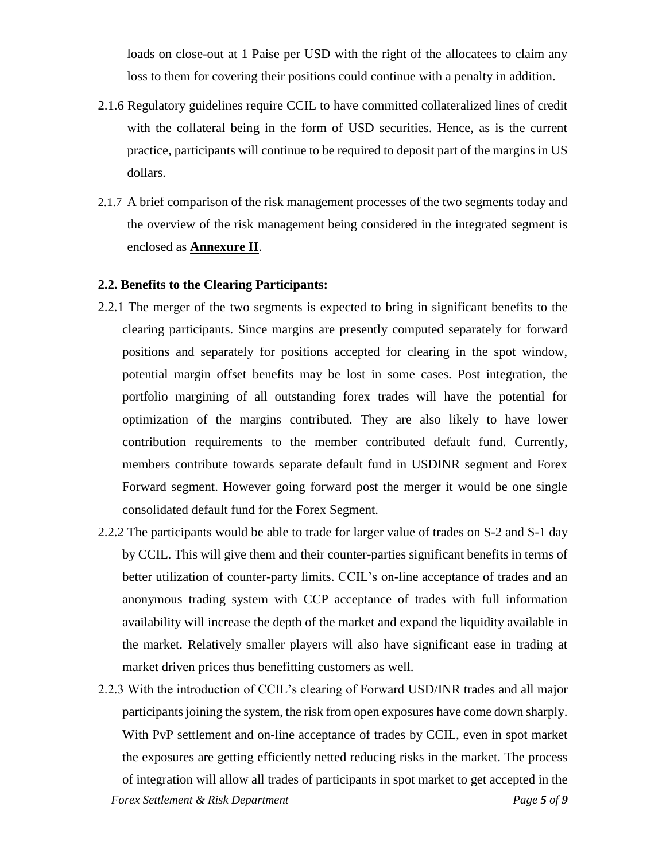loads on close-out at 1 Paise per USD with the right of the allocatees to claim any loss to them for covering their positions could continue with a penalty in addition.

- 2.1.6 Regulatory guidelines require CCIL to have committed collateralized lines of credit with the collateral being in the form of USD securities. Hence, as is the current practice, participants will continue to be required to deposit part of the margins in US dollars.
- 2.1.7 A brief comparison of the risk management processes of the two segments today and the overview of the risk management being considered in the integrated segment is enclosed as **Annexure II**.

#### **2.2. Benefits to the Clearing Participants:**

- 2.2.1 The merger of the two segments is expected to bring in significant benefits to the clearing participants. Since margins are presently computed separately for forward positions and separately for positions accepted for clearing in the spot window, potential margin offset benefits may be lost in some cases. Post integration, the portfolio margining of all outstanding forex trades will have the potential for optimization of the margins contributed. They are also likely to have lower contribution requirements to the member contributed default fund. Currently, members contribute towards separate default fund in USDINR segment and Forex Forward segment. However going forward post the merger it would be one single consolidated default fund for the Forex Segment.
- 2.2.2 The participants would be able to trade for larger value of trades on S-2 and S-1 day by CCIL. This will give them and their counter-parties significant benefits in terms of better utilization of counter-party limits. CCIL's on-line acceptance of trades and an anonymous trading system with CCP acceptance of trades with full information availability will increase the depth of the market and expand the liquidity available in the market. Relatively smaller players will also have significant ease in trading at market driven prices thus benefitting customers as well.
- *Forex Settlement & Risk Department Page 5 of 9* 2.2.3 With the introduction of CCIL's clearing of Forward USD/INR trades and all major participants joining the system, the risk from open exposures have come down sharply. With PvP settlement and on-line acceptance of trades by CCIL, even in spot market the exposures are getting efficiently netted reducing risks in the market. The process of integration will allow all trades of participants in spot market to get accepted in the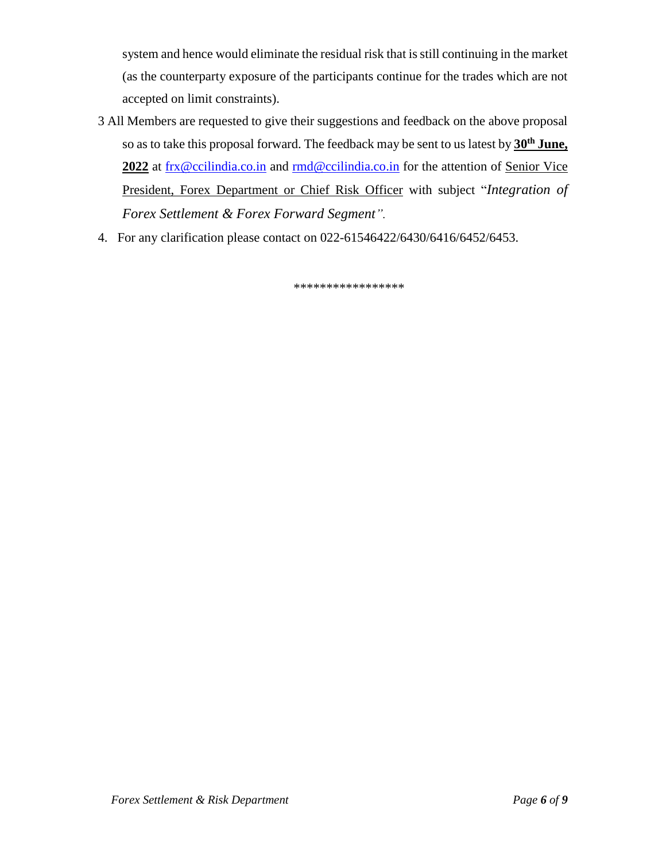system and hence would eliminate the residual risk that is still continuing in the market (as the counterparty exposure of the participants continue for the trades which are not accepted on limit constraints).

- 3 All Members are requested to give their suggestions and feedback on the above proposal so as to take this proposal forward. The feedback may be sent to us latest by **30th June,**  2022 at [frx@ccilindia.co.in](mailto:frx@ccilindia.co.in) and [rmd@ccilindia.co.in](mailto:rmd@ccilindia.co.in) for the attention of Senior Vice President, Forex Department or Chief Risk Officer with subject "*Integration of Forex Settlement & Forex Forward Segment".*
- 4. For any clarification please contact on 022-61546422/6430/6416/6452/6453.

\*\*\*\*\*\*\*\*\*\*\*\*\*\*\*\*\*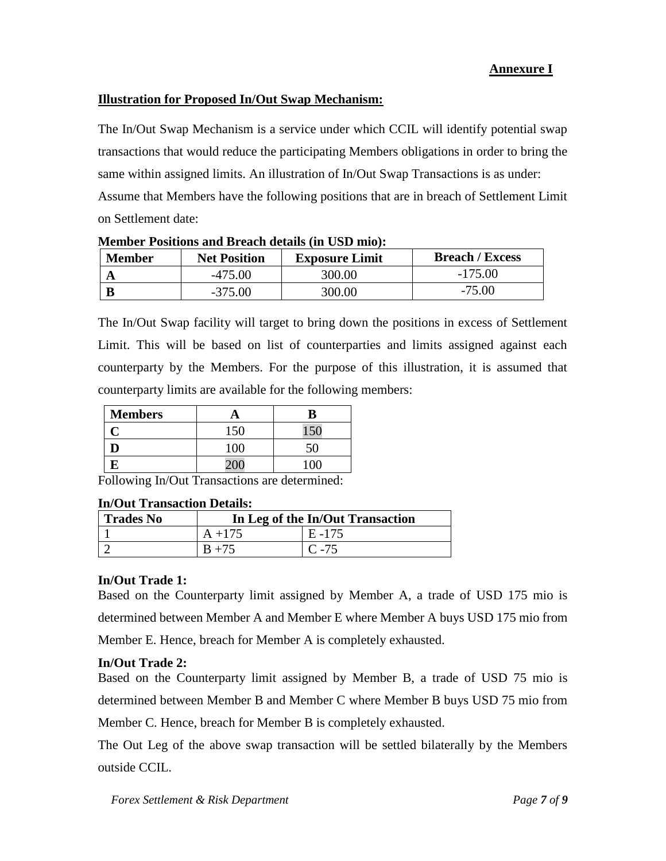### **Illustration for Proposed In/Out Swap Mechanism:**

The In/Out Swap Mechanism is a service under which CCIL will identify potential swap transactions that would reduce the participating Members obligations in order to bring the same within assigned limits. An illustration of In/Out Swap Transactions is as under: Assume that Members have the following positions that are in breach of Settlement Limit on Settlement date:

| <u><b>NUMBER 1 USHUMS and DIVALII details (In USD mit).</b></u> |                     |                       |                        |  |
|-----------------------------------------------------------------|---------------------|-----------------------|------------------------|--|
| <b>Member</b>                                                   | <b>Net Position</b> | <b>Exposure Limit</b> | <b>Breach / Excess</b> |  |
|                                                                 | $-475.00$           | 300.00                | $-175.00$              |  |
|                                                                 | $-375.00$           | 300.00                | $-75.00$               |  |

### **Member Positions and Breach details (in USD mio):**

The In/Out Swap facility will target to bring down the positions in excess of Settlement Limit. This will be based on list of counterparties and limits assigned against each counterparty by the Members. For the purpose of this illustration, it is assumed that counterparty limits are available for the following members:

| <b>Members</b> |     |  |
|----------------|-----|--|
|                | 150 |  |
|                |     |  |
|                |     |  |

Following In/Out Transactions are determined:

### **In/Out Transaction Details:**

| <b>Trades No</b> | In Leg of the In/Out Transaction |          |  |
|------------------|----------------------------------|----------|--|
|                  | $A + 175$                        | E-175    |  |
|                  | $B + 75$                         | $C - 75$ |  |

### **In/Out Trade 1:**

Based on the Counterparty limit assigned by Member A, a trade of USD 175 mio is determined between Member A and Member E where Member A buys USD 175 mio from Member E. Hence, breach for Member A is completely exhausted.

### **In/Out Trade 2:**

Based on the Counterparty limit assigned by Member B, a trade of USD 75 mio is determined between Member B and Member C where Member B buys USD 75 mio from

Member C. Hence, breach for Member B is completely exhausted.

The Out Leg of the above swap transaction will be settled bilaterally by the Members outside CCIL.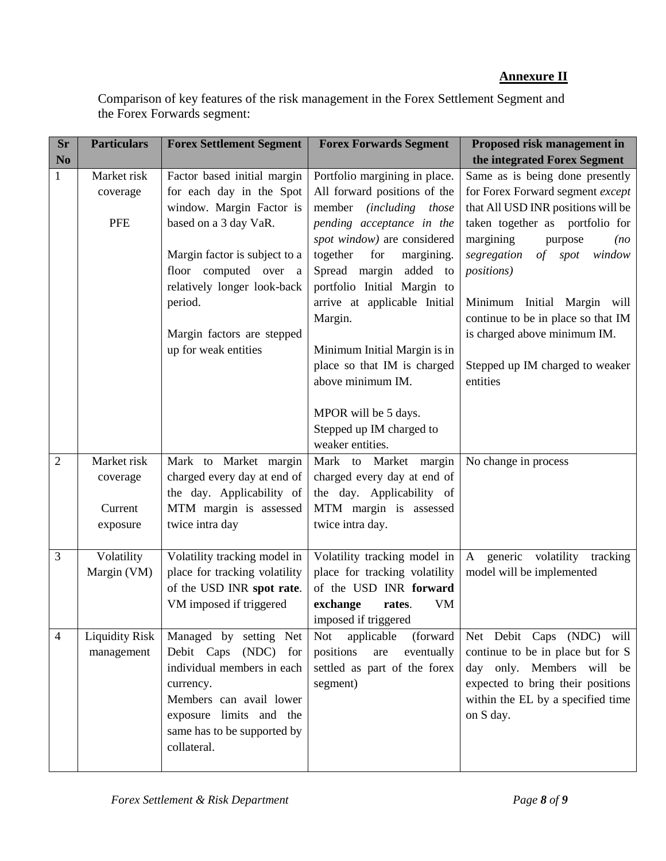## **Annexure II**

Comparison of key features of the risk management in the Forex Settlement Segment and the Forex Forwards segment:

| <b>Sr</b>      | <b>Particulars</b>                             | <b>Forex Settlement Segment</b>                                                                                                                                                               | <b>Forex Forwards Segment</b>                                                                                                                                                                                                                                                     | Proposed risk management in                                                                                                                                                                                                                                                   |
|----------------|------------------------------------------------|-----------------------------------------------------------------------------------------------------------------------------------------------------------------------------------------------|-----------------------------------------------------------------------------------------------------------------------------------------------------------------------------------------------------------------------------------------------------------------------------------|-------------------------------------------------------------------------------------------------------------------------------------------------------------------------------------------------------------------------------------------------------------------------------|
| N <sub>0</sub> |                                                |                                                                                                                                                                                               |                                                                                                                                                                                                                                                                                   | the integrated Forex Segment                                                                                                                                                                                                                                                  |
| $\mathbf{1}$   | Market risk<br>coverage                        | Factor based initial margin<br>for each day in the Spot<br>window. Margin Factor is                                                                                                           | Portfolio margining in place.<br>All forward positions of the<br>member (including those                                                                                                                                                                                          | Same as is being done presently<br>for Forex Forward segment except<br>that All USD INR positions will be                                                                                                                                                                     |
|                | <b>PFE</b>                                     | based on a 3 day VaR.<br>Margin factor is subject to a<br>floor computed over<br><sub>a</sub><br>relatively longer look-back<br>period.<br>Margin factors are stepped<br>up for weak entities | pending acceptance in the<br>spot window) are considered<br>together<br>for<br>margining.<br>Spread margin added to<br>portfolio Initial Margin to<br>arrive at applicable Initial<br>Margin.<br>Minimum Initial Margin is in<br>place so that IM is charged<br>above minimum IM. | taken together as portfolio for<br>margining<br>purpose<br>(no)<br>segregation<br>of spot<br>window<br><i>positions</i> )<br>Minimum Initial Margin will<br>continue to be in place so that IM<br>is charged above minimum IM.<br>Stepped up IM charged to weaker<br>entities |
|                |                                                |                                                                                                                                                                                               | MPOR will be 5 days.<br>Stepped up IM charged to<br>weaker entities.                                                                                                                                                                                                              |                                                                                                                                                                                                                                                                               |
| $\overline{2}$ | Market risk<br>coverage<br>Current<br>exposure | Mark to Market margin<br>charged every day at end of<br>the day. Applicability of<br>MTM margin is assessed<br>twice intra day                                                                | Mark to Market margin<br>charged every day at end of<br>the day. Applicability of<br>MTM margin is assessed<br>twice intra day.                                                                                                                                                   | No change in process                                                                                                                                                                                                                                                          |
| 3              | Volatility<br>Margin (VM)                      | Volatility tracking model in<br>place for tracking volatility<br>of the USD INR spot rate.<br>VM imposed if triggered                                                                         | Volatility tracking model in<br>place for tracking volatility<br>of the USD INR forward<br>exchange<br>rates.<br>VM<br>imposed if triggered                                                                                                                                       | A generic volatility tracking<br>model will be implemented                                                                                                                                                                                                                    |
| $\overline{4}$ | <b>Liquidity Risk</b><br>management            | Managed by setting Net<br>Debit Caps (NDC) for<br>individual members in each<br>currency.<br>Members can avail lower<br>exposure limits and the<br>same has to be supported by<br>collateral. | applicable<br>Not<br>(forward<br>positions<br>eventually<br>are<br>settled as part of the forex<br>segment)                                                                                                                                                                       | Net Debit Caps (NDC) will<br>continue to be in place but for S<br>day only. Members will be<br>expected to bring their positions<br>within the EL by a specified time<br>on S day.                                                                                            |